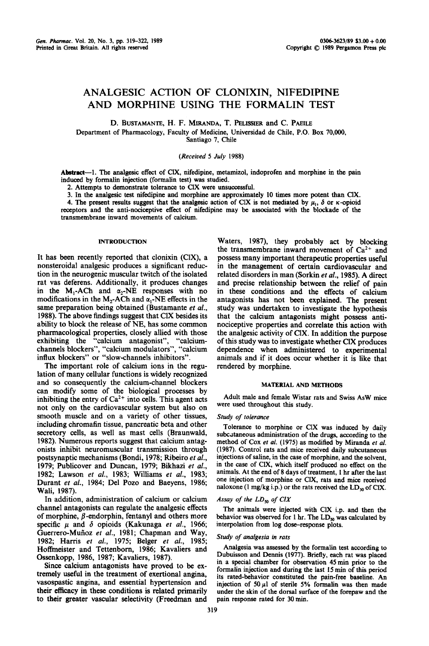# **ANALGESIC ACTION OF CLONIXIN, NIFEDIPINE AND MORPHINE USING THE FORMALIN TEST**

D. BUSTAMANTE, H. F. MIRANDA, T. PELISSIER and C. PAEILE

Department of Pharmacology, Faculty of Medicine, Universidad de Chile, P.O. Box 70,000, Santiago 7, Chile

*(Received 5 July* 1988)

Abstract--1. The analgesic effect of CIX, nifedipine, metamizol, indoprofen and morphine in the pain induced by formalin injection (formalin test) was studied.

2. Attempts to demonstrate tolerance to CIX were unsuccessful.

3. In the analgesic test nifedipine and morphine are approximately 10 times more potent than C1X.

4. The present results suggest that the analgesic action of CIX is not mediated by  $\mu_1$ ,  $\delta$  or  $\kappa$ -opioid receptors and the anti-nociceptive effect of nifedipine may be associated with the blockade of the transmembrane inward movements of calcium.

# **INTRODUCTION**

It has been recently reported that clonixin (CIX), a nonsteroidal analgesic produces a significant reduction in the neurogenic muscular twitch of the isolated rat vas deferens. Additionally, it produces changes in the M<sub>1</sub>-ACh and  $\alpha_2$ -NE responses with no modifications in the M<sub>2</sub>-ACh and  $\alpha_1$ -NE effects in the same preparation being obtained (Bustamante *et al.,*  1988). The above findings suggest that C1X besides its ability to block the release of NE, has some common pharmacological properties, closely allied with those exhibiting the "calcium antagonist", "calciumchannels blockers", "calcium modulators", "calcium influx blockers" or "slow-channels inhibitors".

The important role of calcium ions in the regulation of many cellular functions is widely recognized and so consequently the calcium-channel blockers can modify some of the biological processes by inhibiting the entry of  $Ca^{2+}$  into cells. This agent acts not only on the cardiovascular system but also on smooth muscle and on a variety of other tissues, including chromafin tissue, pancreatic beta and other secretory cells, as well as mast cells (Braunwald, 1982). Numerous reports suggest that calcium antagonists inhibit neuromuscular transmission through postsynaptic mechanisms (Bondi, 1978; Ribeiro *et al.,*  1979; Publieover and Duncan, 1979; Bikhazi *et al.,*  1982; Lawson *et al.,* 1983; Williams *et al.,* 1983; Durant *et al.,* 1984; Del Pozo and Baeyens, 1986; Wali, 1987).

In addition, administration of calcium or calcium channel antagonists can regulate the analgesic effects of morphine,  $\beta$ -endorphin, fentanyl and others more specific  $\mu$  and  $\delta$  opioids (Kakunaga *et al.*, 1966; Guerrero-Mufioz *et al.,* 1981; Chapman and Way, 1982; Harris *et aL,* 1975; Belger *et al.,* 1985; Hoffmeister and Tettenborn, 1986; Kavaliers and Ossenkopp, 1986, 1987; Kavaliers, 1987).

Since calcium antagonists have proved to be extremely useful in the treatment of exertional angina, vasospastic angina, and essential hypertension and their efficacy in these conditions is related primarily to their greater vascular selectivity (Freedman and

Waters, 1987), they probably act by blocking the transmembrane inward movement of  $Ca<sup>2+</sup>$  and possess many important therapeutic properties useful in the management of certain cardiovascular and related disorders in man (Sorkin *et al.,* 1985). A direct and precise relationship between the relief of pain in these conditions and the effects of calcium antagonists has not been explained. The present study was undertaken to investigate the hypothesis that the calcium antagonists might possess antinociceptive properties and correlate this action with the analgesic activity of C1X. In addition the purpose of this study was to investigate whether CIX produces dependence when administered to experimental animals and if it does occur whether it is like that rendered by morphine.

## MATERIAL AND METHODS

Adult male and female Wistar rats and Swiss AsW mice were used throughout this study.

## *Study of tolerance*

Tolerance to morphine or CIX was induced by daily subcataneous administration of the drugs, according to the method of Cox *et al.* (1975) as modified by Miranda *et al.*  (1987). Control rats and mice received daily subcutaneous injections of saline, in the case of morphine, and the solvent, in the case of CIX, which itself produced no effect on the animals. At the end of 8 days of treatment, I hr after the last one injection of morphine or CIX, rats and mice received naloxone (1 mg/kg i.p.) or the rats received the  $LD_{50}$  of CIX.

## *Assay of the LDso of CIX*

The animals were injected with CIX i.p. and then the behavior was observed for 1 hr. The  $LD_{50}$  was calculated by interpolation from log dose-response plots.

## *Study of analgesia in rats*

Analgesia was assessed by the formalin test according to Dubuisson and Dennis (1977). Briefly, each rat was placed in a special chamber for observation 45 min prior to the formalin injection and during the last 15 min of this period its rated-behavior constituted the pain-free baseline. An injection of 50  $\mu$ 1 of sterile 5% formalin was then made under the skin of the dorsal surface of the forepaw and the pain response rated for 30 min.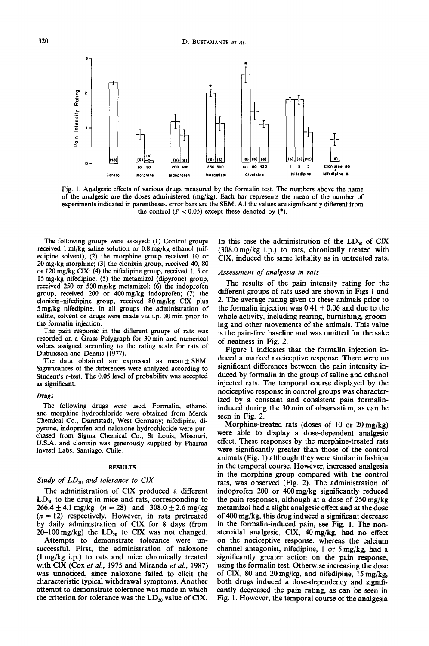

Fig. I. Analgesic effects of various drugs measured by the formalin test. The numbers above the name of the analgesic are the doses administered (mg/kg). Each bar represents the mean of the number of experiments indicated in parentheses, error bars are the SEM. All the values are significantly different from the control  $(P < 0.05)$  except these denoted by  $(*)$ .

The following groups were assayed: (1) Control groups received 1 ml/kg saline solution or 0,8 mg/kg ethanol (nifedipine solvent), (2) the morphine group received 10 or 20 mg/kg morphine; (3) the clonixin group, received 40, 80 or 120 mg/kg CIX; (4) the nifedipine group, received I, 5 or 15 mg/kg nifedipine; (5) the metamizol (dipyrone) group, received 250 or 500 mg/kg metamizol; (6) the indoprofen group, received 200 or 400mg/kg indoprofen; (7) the clonixin-nifedipine group, received 80mg/kg CIX plus 5 mg/kg nifedipine. In all groups the administration of saline, solvent or drugs were made via i.p. 30 min prior to the formalin injection.

The pain response in the different groups of rats was recorded on a Grass Polygraph for 30 min and numerical values assigned according to the rating scale for rats of Dubuisson and Dennis (1977).

The data obtained are expressed as mean  $\pm$  SEM. Significances of the differences were analyzed according to Student's t-test. The 0.05 level of probability was accepted as significant.

#### *Drugs*

The following drugs were used. Formalin, ethanol and morphine hydrochloride were obtained from Merck Chemical Co., Darmstadt, West Germany; nifedipine, dipyrone, indoprofen and naloxone hydrochloride were purchased from Sigma Chemical Co., St Louis, Missouri, U.S.A. and clonixin was generously supplied by Pharma Investi Labs, Santiago, Chile.

## RESULTS

# *Study of LDso and tolerance to CIX*

The administration of CIX produced a different  $LD_{50}$  to the drug in mice and rats, corresponding to  $266.4 \pm 4.1$  mg/kg  $(n = 28)$  and  $308.0 \pm 2.6$  mg/kg  $(n = 12)$  respectively. However, in rats pretreated by daily administration of CIX for 8 days (from  $20-100$  mg/kg) the  $LD_{50}$  to CIX was not changed.

Attempts to demonstrate tolerance were unsuccessful. First, the administration of naloxone (1 mg/kg i.p.) to rats and mice chronically treated with C1X (Cox *et al.,* 1975 and Miranda *et al.,* 1987) was unnoticed, since naloxone failed to elicit the characteristic typical withdrawal symptoms. Another attempt to demonstrate tolerance was made in which the criterion for tolerance was the  $LD_{50}$  value of CIX. In this case the administration of the  $LD_{50}$  of CIX (308.0 mg/kg i.p.) to rats, chronically treated with CIX, induced the same lethality as in untreated rats.

## *Assessment of analgesia in rats*

The results of the pain intensity rating for the different groups of rats used are shown in Figs 1 and 2. The average rating given to these animals prior to the formalin injection was  $0.41 \pm 0.06$  and due to the whole activity, including rearing, burnishing, grooming and other movements of the animals. This value is the pain-free baseline and was omitted for the sake of neatness in Fig. 2.

Figure 1 indicates that the formalin injection induced a marked nociceptive response. There were no significant differences between the pain intensity induced by formalin in the group of saline and ethanol injected rats. The temporal course displayed by the nociceptive response in control groups was characterized by a constant and consistent pain formalininduced during the 30 min of observation, as can be seen in Fig. 2.

Morphine-treated rats (doses of 10 or 20mg/kg) were able to display a dose-dependent analgesic effect. These responses by the morphine-treated rats were significantly greater than those of the control animals (Fig. 1) although they were similar in fashion in the temporal course. However, increased analgesia in the morphine group compared with the control rats, was observed (Fig. 2). The administration of indoprofen 200 or 400 mg/kg significantly reduced the pain responses, although at a dose of 250 mg/kg metamizol had a slight analgesic effect and at the dose of 400 mg/kg, this drug induced a significant decrease in the formalin-induced pain, see Fig. 1. The nonsteroidal analgesic, CIX, 40 mg/kg, had no effect on the nociceptive response, whereas the calcium channel antagonist, nifedipine, 1 or 5 mg/kg, had a significantly greater action on the pain response, using the formalin test. Otherwise increasing the dose of CIX, 80 and 20mg/kg, and nifedipine, 15 mg/kg, both drugs induced a dose-dependency and significantly decreased the pain rating, as can be seen in Fig. 1. However, the temporal course of the analgesia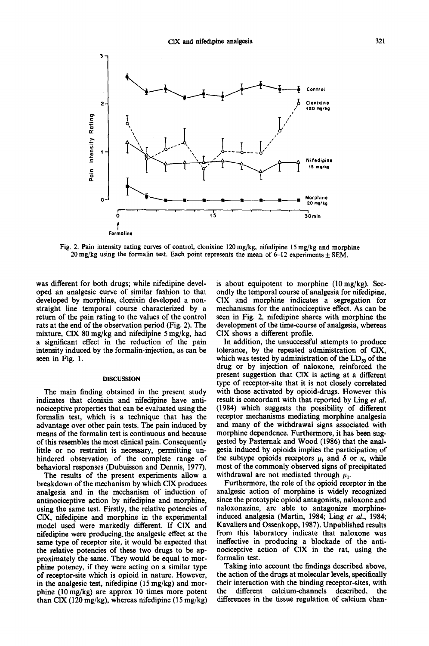

Fig. 2. Pain intensity rating curves of control, clonixine 120 mg/kg, nifedipine 15 mg/kg and morphine 20 mg/kg using the formalin test. Each point represents the mean of  $6-12$  experiments  $\pm$  SEM.

was different for both drugs; while nifedipine developed an analgesic curve of similar fashion to that developed by morphine, clonixin developed a nonstraight line temporal course characterized by a return of the pain rating to the values of the control rats at the end of the observation period (Fig. 2). The mixture, CIX 80 mg/kg and nifedipine 5 mg/kg, had a significant effect in the reduction of the pain intensity induced by the formalin-injection, as can be seen in Fig. 1.

## DISCUSSION

The main finding obtained in the present study indicates that clonixin and nifedipine have antinociceptive properties that can be evaluated using the formalin test, which is a technique that has the advantage over other pain tests. The pain induced by means of the formalin test is continuous and because of this resembles the most clinical pain. Consequently little or no restraint is necessary, permitting unhindered observation of the complete range of behavioral responses (Dubuisson and Dennis, 1977).

The results of the present experiments allow a breakdown of the mechanism by which C1X produces analgesia and in the mechanism of induction of antinociceptive action by nifedipine and morphine, using the same test. Firstly, the relative potencies of CIX, nifedipine and morphine in the experimental model used were markedly different. If CIX and nifedipine were producing.the analgesic effect at the same type of receptor site, it would be expected that the relative potencies of these two drugs to be approximately the same. They would be equal to morphine potency, if they were acting on a similar type of receptor-site which is opioid in nature. However, in the analgesic test, nifedipine  $(15 \text{ mg/kg})$  and morphine (10 mg/kg) are approx 10 times more potent than C1X (120 mg/kg), whereas nifedipine (15 mg/kg) is about equipotent to morphine (10mg/kg). Secondly the temporal course of analgesia for nifedipine, C1X and morphine indicates a segregation for mechanisms for the antinociceptive effect. As can be seen in Fig. 2, nifedipine shares with morphine the development of the time-course of analgesia, whereas C1X shows a different profile.

In addition, the unsuccessful attempts to produce tolerance, by the repeated administration of C1X, which was tested by administration of the  $LD_{50}$  of the drug or by injection of naloxone, reinforced the present suggestion that CIX is acting at a different type of receptor-site that it is not closely correlated with those activated by opioid-drugs. However this result is concordant with that reported by Ling *et al.*  (1984) which suggests the possibility of different receptor mechanisms mediating morphine analgesia and many of the withdrawal signs associated with morphine dependence. Furthermore, it has been suggested by Pasternak and Wood (1986) that the analgesia induced by opioids implies the participation of the subtype opioids receptors  $\mu_1$  and  $\delta$  or  $\kappa$ , while most of the commonly observed signs of precipitated withdrawal are not mediated through  $\mu_1$ .

Furthermore, the role of the opioid receptor in the analgesic action of morphine is widely recognized since the prototypic opioid antagonists, naloxone and naloxonazine, are able to antagonize morphineinduced analgesia (Martin, 1984; Ling *et al.,* 1984; Kavaliers and Ossenkopp, 1987). Unpublished results from this laboratory indicate that naloxone was ineffective in producing a blockade of the antinociceptive action of C1X in the rat, using the formalin test.

Taking into account the findings described above, the action of the drugs at molecular levels, specifically their interaction with the binding receptor-sites, with the different calcium-channels described, the differences in the tissue regulation of calcium chan